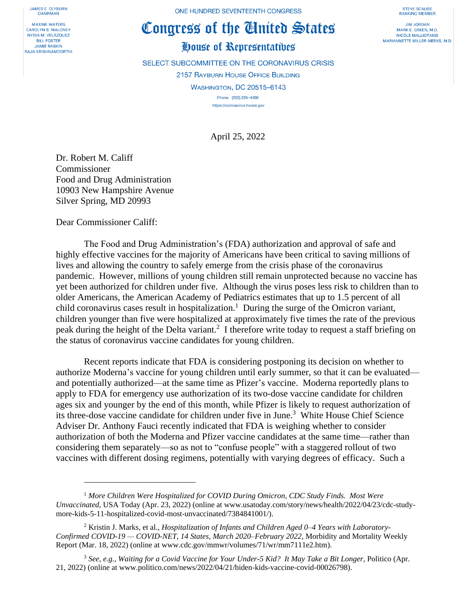**JAMES E. CLYBURN CHAIRMAN** 

**MAXINE WATERS** CAROLYN B. MALONEY NYDIA M. VELÁZQUEZ **BILL FOSTER JAMIE RASKIN** RAJA KRISHNAMOORTHI ONE HUNDRED SEVENTEENTH CONGRESS

## Congress of the Ginited States

## House of Representatives

SELECT SUBCOMMITTEE ON THE CORONAVIRUS CRISIS 2157 RAYBURN HOUSE OFFICE BUILDING **WASHINGTON, DC 20515-6143** Phone (202) 225-4400

https://coronavirus.house.gov

April 25, 2022

Dr. Robert M. Califf Commissioner Food and Drug Administration 10903 New Hampshire Avenue Silver Spring, MD 20993

Dear Commissioner Califf:

The Food and Drug Administration's (FDA) authorization and approval of safe and highly effective vaccines for the majority of Americans have been critical to saving millions of lives and allowing the country to safely emerge from the crisis phase of the coronavirus pandemic. However, millions of young children still remain unprotected because no vaccine has yet been authorized for children under five. Although the virus poses less risk to children than to older Americans, the American Academy of Pediatrics estimates that up to 1.5 percent of all child coronavirus cases result in hospitalization.<sup>1</sup> During the surge of the Omicron variant, children younger than five were hospitalized at approximately five times the rate of the previous peak during the height of the Delta variant.<sup>2</sup> I therefore write today to request a staff briefing on the status of coronavirus vaccine candidates for young children.

Recent reports indicate that FDA is considering postponing its decision on whether to authorize Moderna's vaccine for young children until early summer, so that it can be evaluated and potentially authorized—at the same time as Pfizer's vaccine. Moderna reportedly plans to apply to FDA for emergency use authorization of its two-dose vaccine candidate for children ages six and younger by the end of this month, while Pfizer is likely to request authorization of its three-dose vaccine candidate for children under five in June.<sup>3</sup> White House Chief Science Adviser Dr. Anthony Fauci recently indicated that FDA is weighing whether to consider authorization of both the Moderna and Pfizer vaccine candidates at the same time—rather than considering them separately—so as not to "confuse people" with a staggered rollout of two vaccines with different dosing regimens, potentially with varying degrees of efficacy. Such a

**STEVE SCALISE RANKING MEMBER** 

**JIM JORDAN** MARK E. GREEN, M.D. NICOLE MALLIOTAKIS MARIANNETTE MILLER-MEEKS, M.D.

<sup>1</sup> *More Children Were Hospitalized for COVID During Omicron, CDC Study Finds. Most Were Unvaccinated*, USA Today (Apr. 23, 2022) (online at www.usatoday.com/story/news/health/2022/04/23/cdc-studymore-kids-5-11-hospitalized-covid-most-unvaccinated/7384841001/).

<sup>2</sup> Kristin J. Marks, et al., *Hospitalization of Infants and Children Aged 0–4 Years with Laboratory-Confirmed COVID-19 — COVID-NET, 14 States, March 2020–February 2022*, Morbidity and Mortality Weekly Report (Mar. 18, 2022) (online at www.cdc.gov/mmwr/volumes/71/wr/mm7111e2.htm).

<sup>3</sup> *See, e.g.*, *Waiting for a Covid Vaccine for Your Under-5 Kid? It May Take a Bit Longer*, Politico (Apr. 21, 2022) (online at www.politico.com/news/2022/04/21/biden-kids-vaccine-covid-00026798).